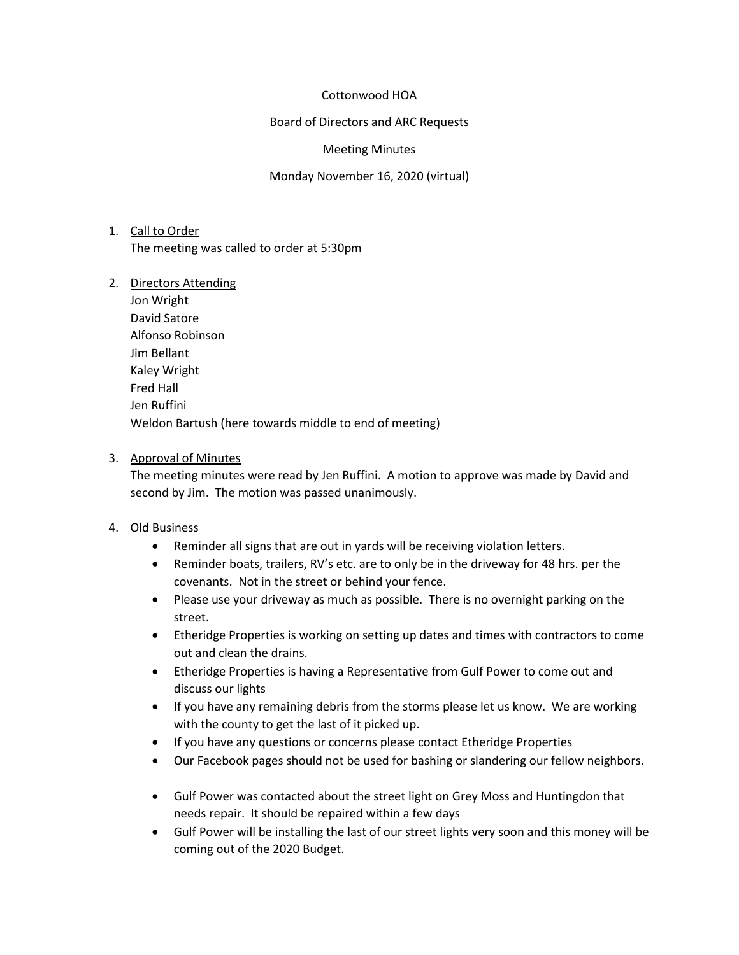### Cottonwood HOA

Board of Directors and ARC Requests

Meeting Minutes

Monday November 16, 2020 (virtual)

- 1. Call to Order The meeting was called to order at 5:30pm
- 2. Directors Attending
	- Jon Wright David Satore Alfonso Robinson Jim Bellant Kaley Wright Fred Hall Jen Ruffini Weldon Bartush (here towards middle to end of meeting)

# 3. Approval of Minutes

The meeting minutes were read by Jen Ruffini. A motion to approve was made by David and second by Jim. The motion was passed unanimously.

# 4. Old Business

- Reminder all signs that are out in yards will be receiving violation letters.
- Reminder boats, trailers, RV's etc. are to only be in the driveway for 48 hrs. per the covenants. Not in the street or behind your fence.
- Please use your driveway as much as possible. There is no overnight parking on the street.
- Etheridge Properties is working on setting up dates and times with contractors to come out and clean the drains.
- Etheridge Properties is having a Representative from Gulf Power to come out and discuss our lights
- If you have any remaining debris from the storms please let us know. We are working with the county to get the last of it picked up.
- If you have any questions or concerns please contact Etheridge Properties
- Our Facebook pages should not be used for bashing or slandering our fellow neighbors.
- Gulf Power was contacted about the street light on Grey Moss and Huntingdon that needs repair. It should be repaired within a few days
- Gulf Power will be installing the last of our street lights very soon and this money will be coming out of the 2020 Budget.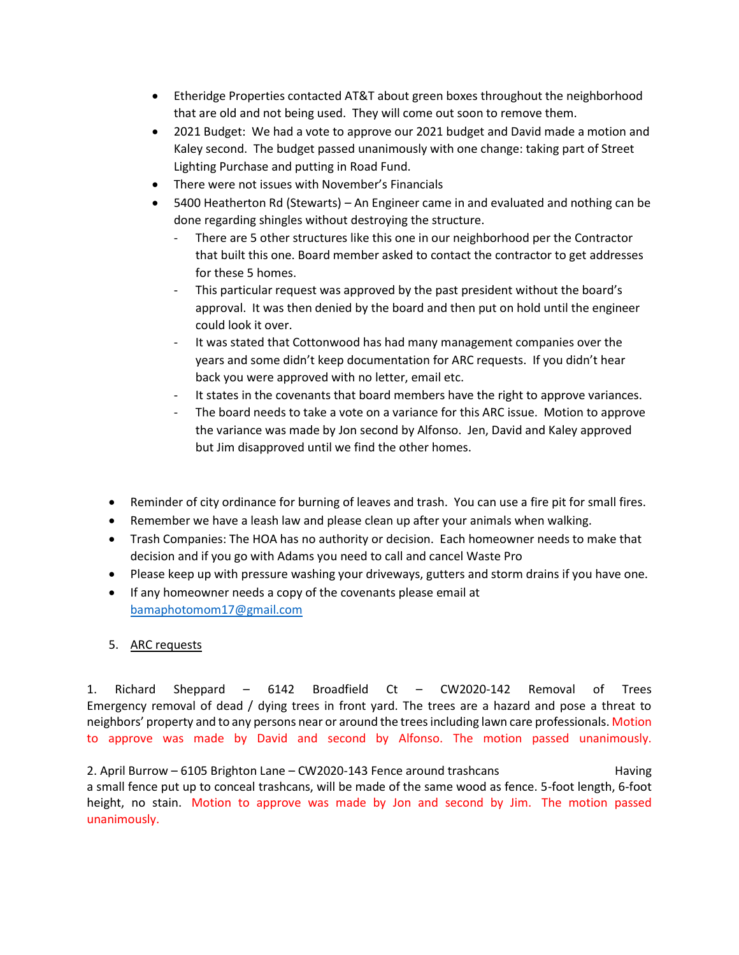- Etheridge Properties contacted AT&T about green boxes throughout the neighborhood that are old and not being used. They will come out soon to remove them.
- 2021 Budget: We had a vote to approve our 2021 budget and David made a motion and Kaley second. The budget passed unanimously with one change: taking part of Street Lighting Purchase and putting in Road Fund.
- There were not issues with November's Financials
- 5400 Heatherton Rd (Stewarts) An Engineer came in and evaluated and nothing can be done regarding shingles without destroying the structure.
	- There are 5 other structures like this one in our neighborhood per the Contractor that built this one. Board member asked to contact the contractor to get addresses for these 5 homes.
	- This particular request was approved by the past president without the board's approval. It was then denied by the board and then put on hold until the engineer could look it over.
	- It was stated that Cottonwood has had many management companies over the years and some didn't keep documentation for ARC requests. If you didn't hear back you were approved with no letter, email etc.
	- It states in the covenants that board members have the right to approve variances.
	- The board needs to take a vote on a variance for this ARC issue. Motion to approve the variance was made by Jon second by Alfonso. Jen, David and Kaley approved but Jim disapproved until we find the other homes.
- Reminder of city ordinance for burning of leaves and trash. You can use a fire pit for small fires.
- Remember we have a leash law and please clean up after your animals when walking.
- Trash Companies: The HOA has no authority or decision. Each homeowner needs to make that decision and if you go with Adams you need to call and cancel Waste Pro
- Please keep up with pressure washing your driveways, gutters and storm drains if you have one.
- If any homeowner needs a copy of the covenants please email at [bamaphotomom17@gmail.com](mailto:bamaphotomom17@gmail.com)

### 5. ARC requests

1. Richard Sheppard – 6142 Broadfield Ct – CW2020-142 Removal of Trees Emergency removal of dead / dying trees in front yard. The trees are a hazard and pose a threat to neighbors' property and to any persons near or around the trees including lawn care professionals. Motion to approve was made by David and second by Alfonso. The motion passed unanimously.

2. April Burrow – 6105 Brighton Lane – CW2020-143 Fence around trashcans Having a small fence put up to conceal trashcans, will be made of the same wood as fence. 5-foot length, 6-foot height, no stain. Motion to approve was made by Jon and second by Jim. The motion passed unanimously.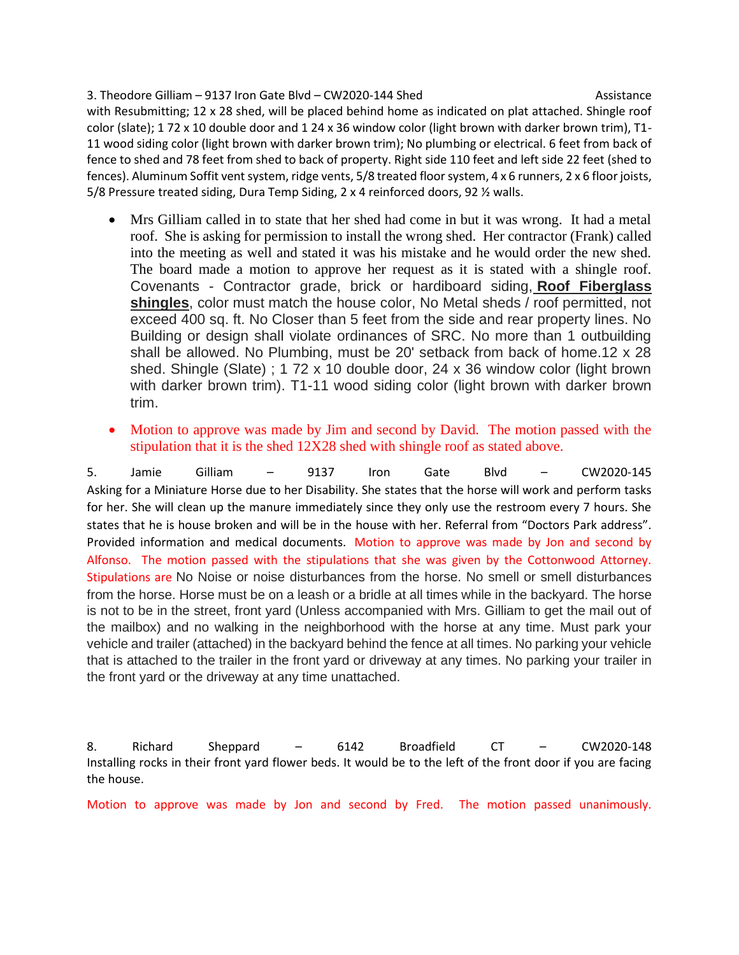#### 3. Theodore Gilliam – 9137 Iron Gate Blvd – CW2020-144 Shed Assistance

with Resubmitting; 12 x 28 shed, will be placed behind home as indicated on plat attached. Shingle roof color (slate); 1 72 x 10 double door and 1 24 x 36 window color (light brown with darker brown trim), T1- 11 wood siding color (light brown with darker brown trim); No plumbing or electrical. 6 feet from back of fence to shed and 78 feet from shed to back of property. Right side 110 feet and left side 22 feet (shed to fences). Aluminum Soffit vent system, ridge vents, 5/8 treated floor system, 4 x 6 runners, 2 x 6 floor joists, 5/8 Pressure treated siding, Dura Temp Siding, 2 x 4 reinforced doors, 92 ½ walls.

- Mrs Gilliam called in to state that her shed had come in but it was wrong. It had a metal roof. She is asking for permission to install the wrong shed. Her contractor (Frank) called into the meeting as well and stated it was his mistake and he would order the new shed. The board made a motion to approve her request as it is stated with a shingle roof. Covenants - Contractor grade, brick or hardiboard siding, **Roof Fiberglass shingles**, color must match the house color, No Metal sheds / roof permitted, not exceed 400 sq. ft. No Closer than 5 feet from the side and rear property lines. No Building or design shall violate ordinances of SRC. No more than 1 outbuilding shall be allowed. No Plumbing, must be 20' setback from back of home.12 x 28 shed. Shingle (Slate) ; 1 72 x 10 double door, 24 x 36 window color (light brown with darker brown trim). T1-11 wood siding color (light brown with darker brown trim.
- Motion to approve was made by Jim and second by David. The motion passed with the stipulation that it is the shed 12X28 shed with shingle roof as stated above.

5. Jamie Gilliam – 9137 Iron Gate Blvd – CW2020-145 Asking for a Miniature Horse due to her Disability. She states that the horse will work and perform tasks for her. She will clean up the manure immediately since they only use the restroom every 7 hours. She states that he is house broken and will be in the house with her. Referral from "Doctors Park address". Provided information and medical documents. Motion to approve was made by Jon and second by Alfonso. The motion passed with the stipulations that she was given by the Cottonwood Attorney. Stipulations are No Noise or noise disturbances from the horse. No smell or smell disturbances from the horse. Horse must be on a leash or a bridle at all times while in the backyard. The horse is not to be in the street, front yard (Unless accompanied with Mrs. Gilliam to get the mail out of the mailbox) and no walking in the neighborhood with the horse at any time. Must park your vehicle and trailer (attached) in the backyard behind the fence at all times. No parking your vehicle that is attached to the trailer in the front yard or driveway at any times. No parking your trailer in the front yard or the driveway at any time unattached.

8. Richard Sheppard – 6142 Broadfield CT – CW2020-148 Installing rocks in their front yard flower beds. It would be to the left of the front door if you are facing the house.

Motion to approve was made by Jon and second by Fred. The motion passed unanimously.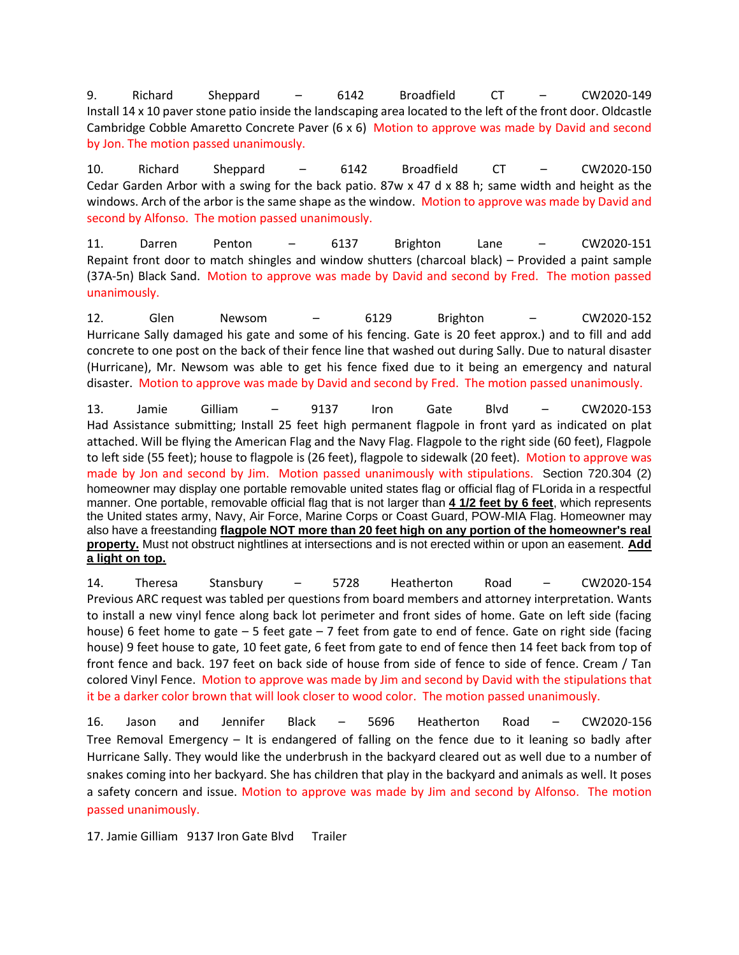9. Richard Sheppard – 6142 Broadfield CT – CW2020-149 Install 14 x 10 paver stone patio inside the landscaping area located to the left of the front door. Oldcastle Cambridge Cobble Amaretto Concrete Paver (6 x 6) Motion to approve was made by David and second by Jon. The motion passed unanimously.

10. Richard Sheppard – 6142 Broadfield CT – CW2020-150 Cedar Garden Arbor with a swing for the back patio. 87w x 47 d x 88 h; same width and height as the windows. Arch of the arbor is the same shape as the window. Motion to approve was made by David and second by Alfonso. The motion passed unanimously.

11. Darren Penton – 6137 Brighton Lane – CW2020-151 Repaint front door to match shingles and window shutters (charcoal black) – Provided a paint sample (37A-5n) Black Sand. Motion to approve was made by David and second by Fred. The motion passed unanimously.

12. Glen Newsom – 6129 Brighton – CW2020-152 Hurricane Sally damaged his gate and some of his fencing. Gate is 20 feet approx.) and to fill and add concrete to one post on the back of their fence line that washed out during Sally. Due to natural disaster (Hurricane), Mr. Newsom was able to get his fence fixed due to it being an emergency and natural disaster. Motion to approve was made by David and second by Fred. The motion passed unanimously.

13. Jamie Gilliam – 9137 Iron Gate Blvd – CW2020-153 Had Assistance submitting; Install 25 feet high permanent flagpole in front yard as indicated on plat attached. Will be flying the American Flag and the Navy Flag. Flagpole to the right side (60 feet), Flagpole to left side (55 feet); house to flagpole is (26 feet), flagpole to sidewalk (20 feet). Motion to approve was made by Jon and second by Jim. Motion passed unanimously with stipulations. Section 720.304 (2) homeowner may display one portable removable united states flag or official flag of FLorida in a respectful manner. One portable, removable official flag that is not larger than **4 1/2 feet by 6 feet**, which represents the United states army, Navy, Air Force, Marine Corps or Coast Guard, POW-MIA Flag. Homeowner may also have a freestanding **flagpole NOT more than 20 feet high on any portion of the homeowner's real property.** Must not obstruct nightlines at intersections and is not erected within or upon an easement. **Add a light on top.**

14. Theresa Stansbury – 5728 Heatherton Road – CW2020-154 Previous ARC request was tabled per questions from board members and attorney interpretation. Wants to install a new vinyl fence along back lot perimeter and front sides of home. Gate on left side (facing house) 6 feet home to gate  $-5$  feet gate  $-7$  feet from gate to end of fence. Gate on right side (facing house) 9 feet house to gate, 10 feet gate, 6 feet from gate to end of fence then 14 feet back from top of front fence and back. 197 feet on back side of house from side of fence to side of fence. Cream / Tan colored Vinyl Fence. Motion to approve was made by Jim and second by David with the stipulations that it be a darker color brown that will look closer to wood color. The motion passed unanimously.

16. Jason and Jennifer Black – 5696 Heatherton Road – CW2020-156 Tree Removal Emergency – It is endangered of falling on the fence due to it leaning so badly after Hurricane Sally. They would like the underbrush in the backyard cleared out as well due to a number of snakes coming into her backyard. She has children that play in the backyard and animals as well. It poses a safety concern and issue. Motion to approve was made by Jim and second by Alfonso. The motion passed unanimously.

17. Jamie Gilliam 9137 Iron Gate Blvd Trailer